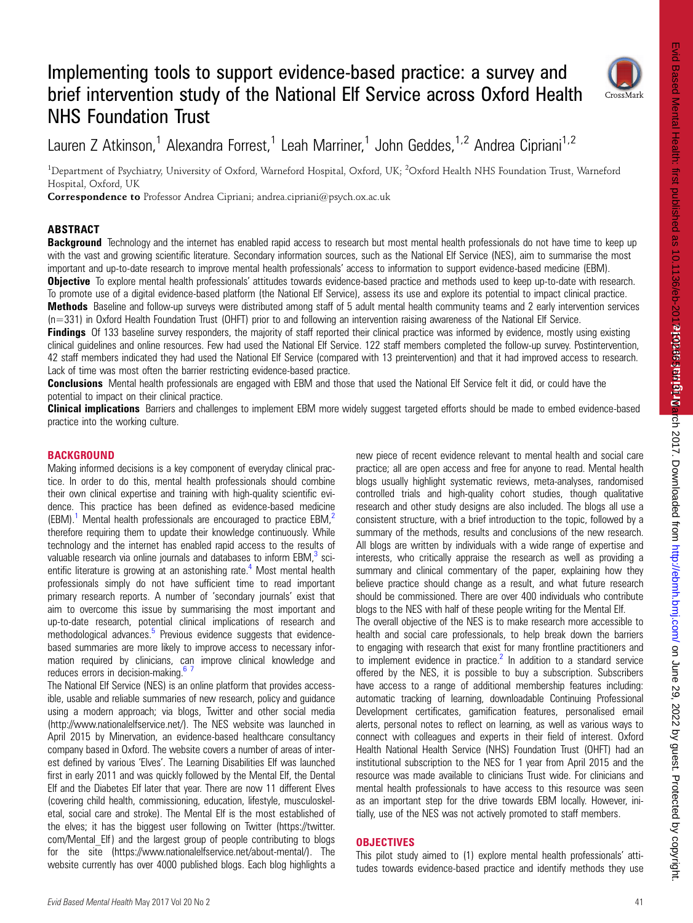# Implementing tools to support evidence-based practice: a survey and brief intervention study of the National Elf Service across Oxford Health NHS Foundation Trust



Lauren Z Atkinson,<sup>1</sup> Alexandra Forrest,<sup>1</sup> Leah Marriner,<sup>1</sup> John Geddes,<sup>1,2</sup> Andrea Cipriani<sup>1,2</sup>

<sup>1</sup>Department of Psychiatry, University of Oxford, Warneford Hospital, Oxford, UK: <sup>2</sup>Oxford Health NHS Foundation Trust, Warneford Hospital, Oxford, UK

Correspondence to Professor Andrea Cipriani; andrea.cipriani@psych.ox.ac.uk

# ABSTRACT

**Background** Technology and the internet has enabled rapid access to research but most mental health professionals do not have time to keep up with the vast and growing scientific literature. Secondary information sources, such as the National Elf Service (NES), aim to summarise the most important and up-to-date research to improve mental health professionals' access to information to support evidence-based medicine (EBM). Objective To explore mental health professionals' attitudes towards evidence-based practice and methods used to keep up-to-date with research. To promote use of a digital evidence-based platform (the National Elf Service), assess its use and explore its potential to impact clinical practice. Methods Baseline and follow-up surveys were distributed among staff of 5 adult mental health community teams and 2 early intervention services (n=331) in Oxford Health Foundation Trust (OHFT) prior to and following an intervention raising awareness of the National Elf Service.

**Findings** Of 133 baseline survey responders, the majority of staff reported their clinical practice was informed by evidence, mostly using existing clinical guidelines and online resources. Few had used the National Elf Service. 122 staff members completed the follow-up survey. Postintervention, 42 staff members indicated they had used the National Elf Service (compared with 13 preintervention) and that it had improved access to research. Lack of time was most often the barrier restricting evidence-based practice.

Conclusions Mental health professionals are engaged with EBM and those that used the National Elf Service felt it did, or could have the potential to impact on their clinical practice.

Clinical implications Barriers and challenges to implement EBM more widely suggest targeted efforts should be made to embed evidence-based practice into the working culture.

## **BACKGROUND**

Making informed decisions is a key component of everyday clinical practice. In order to do this, mental health professionals should combine their own clinical expertise and training with high-quality scientific evidence. This practice has been defined as evidence-based medicine (EBM).<sup>1</sup> Mental health professionals are encouraged to practice  $EBM<sub>1</sub><sup>2</sup>$  $EBM<sub>1</sub><sup>2</sup>$  $EBM<sub>1</sub><sup>2</sup>$ therefore requiring them to update their knowledge continuously. While technology and the internet has enabled rapid access to the results of valuable research via online journals and databases to inform  $EBM$ ,<sup>[3](#page-4-0)</sup> sci-entific literature is growing at an astonishing rate.<sup>[4](#page-4-0)</sup> Most mental health professionals simply do not have sufficient time to read important primary research reports. A number of 'secondary journals' exist that aim to overcome this issue by summarising the most important and up-to-date research, potential clinical implications of research and methodological advances.<sup>[5](#page-4-0)</sup> Previous evidence suggests that evidencebased summaries are more likely to improve access to necessary information required by clinicians, can improve clinical knowledge and reduces errors in decision-making  $67$ 

The National Elf Service (NES) is an online platform that provides accessible, usable and reliable summaries of new research, policy and guidance using a modern approach; via blogs, Twitter and other social media ([http://www.nationalelfservice.net/\)](http://www.nationalelfservice.net/). The NES website was launched in April 2015 by Minervation, an evidence-based healthcare consultancy company based in Oxford. The website covers a number of areas of interest defined by various 'Elves'. The Learning Disabilities Elf was launched first in early 2011 and was quickly followed by the Mental Elf, the Dental Elf and the Diabetes Elf later that year. There are now 11 different Elves (covering child health, commissioning, education, lifestyle, musculoskeletal, social care and stroke). The Mental Elf is the most established of the elves; it has the biggest user following on Twitter [\(https://twitter.](https://twitter.com/Mental_Elf) com/Mental Elf) and the largest group of people contributing to blogs for the site [\(https://www.nationalelfservice.net/about-mental/\)](https://www.nationalelfservice.net/about-mental/). The website currently has over 4000 published blogs. Each blog highlights a new piece of recent evidence relevant to mental health and social care practice; all are open access and free for anyone to read. Mental health blogs usually highlight systematic reviews, meta-analyses, randomised controlled trials and high-quality cohort studies, though qualitative research and other study designs are also included. The blogs all use a consistent structure, with a brief introduction to the topic, followed by a summary of the methods, results and conclusions of the new research. All blogs are written by individuals with a wide range of expertise and interests, who critically appraise the research as well as providing a summary and clinical commentary of the paper, explaining how they believe practice should change as a result, and what future research should be commissioned. There are over 400 individuals who contribute blogs to the NES with half of these people writing for the Mental Elf.

The overall objective of the NES is to make research more accessible to health and social care professionals, to help break down the barriers to engaging with research that exist for many frontline practitioners and to implement evidence in practice.<sup>[2](#page-4-0)</sup> In addition to a standard service offered by the NES, it is possible to buy a subscription. Subscribers have access to a range of additional membership features including: automatic tracking of learning, downloadable Continuing Professional Development certificates, gamification features, personalised email alerts, personal notes to reflect on learning, as well as various ways to connect with colleagues and experts in their field of interest. Oxford Health National Health Service (NHS) Foundation Trust (OHFT) had an institutional subscription to the NES for 1 year from April 2015 and the resource was made available to clinicians Trust wide. For clinicians and mental health professionals to have access to this resource was seen as an important step for the drive towards EBM locally. However, initially, use of the NES was not actively promoted to staff members.

## **OBJECTIVES**

This pilot study aimed to (1) explore mental health professionals' attitudes towards evidence-based practice and identify methods they use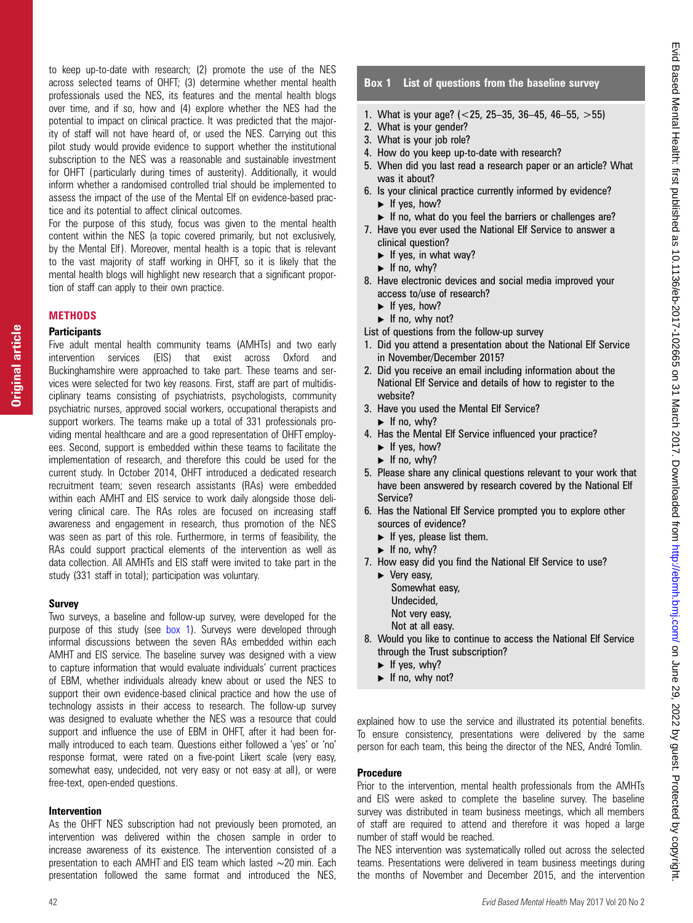to keep up-to-date with research; (2) promote the use of the NES across selected teams of OHFT; (3) determine whether mental health professionals used the NES, its features and the mental health blogs over time, and if so, how and (4) explore whether the NES had the potential to impact on clinical practice. It was predicted that the majority of staff will not have heard of, or used the NES. Carrying out this pilot study would provide evidence to support whether the institutional subscription to the NES was a reasonable and sustainable investment for OHFT (particularly during times of austerity). Additionally, it would inform whether a randomised controlled trial should be implemented to assess the impact of the use of the Mental Elf on evidence-based practice and its potential to affect clinical outcomes.

For the purpose of this study, focus was given to the mental health content within the NES (a topic covered primarily, but not exclusively, by the Mental Elf). Moreover, mental health is a topic that is relevant to the vast majority of staff working in OHFT, so it is likely that the mental health blogs will highlight new research that a significant proportion of staff can apply to their own practice.

## **METHODS**

#### **Participants**

Five adult mental health community teams (AMHTs) and two early intervention services (EIS) that exist across Oxford and Buckinghamshire were approached to take part. These teams and services were selected for two key reasons. First, staff are part of multidisciplinary teams consisting of psychiatrists, psychologists, community psychiatric nurses, approved social workers, occupational therapists and support workers. The teams make up a total of 331 professionals providing mental healthcare and are a good representation of OHFT employees. Second, support is embedded within these teams to facilitate the implementation of research, and therefore this could be used for the current study. In October 2014, OHFT introduced a dedicated research recruitment team; seven research assistants (RAs) were embedded within each AMHT and EIS service to work daily alongside those delivering clinical care. The RAs roles are focused on increasing staff awareness and engagement in research, thus promotion of the NES was seen as part of this role. Furthermore, in terms of feasibility, the RAs could support practical elements of the intervention as well as data collection. All AMHTs and EIS staff were invited to take part in the study (331 staff in total); participation was voluntary.

## Survey

Two surveys, a baseline and follow-up survey, were developed for the purpose of this study (see box 1). Surveys were developed through informal discussions between the seven RAs embedded within each AMHT and EIS service. The baseline survey was designed with a view to capture information that would evaluate individuals' current practices of EBM, whether individuals already knew about or used the NES to support their own evidence-based clinical practice and how the use of technology assists in their access to research. The follow-up survey was designed to evaluate whether the NES was a resource that could support and influence the use of EBM in OHFT, after it had been formally introduced to each team. Questions either followed a 'yes' or 'no' response format, were rated on a five-point Likert scale (very easy, somewhat easy, undecided, not very easy or not easy at all), or were free-text, open-ended questions.

#### Intervention

As the OHFT NES subscription had not previously been promoted, an intervention was delivered within the chosen sample in order to increase awareness of its existence. The intervention consisted of a presentation to each AMHT and EIS team which lasted ∼20 min. Each presentation followed the same format and introduced the NES,

## Box 1 List of questions from the baseline survey

- 1. What is your age? (<25, 25–35, 36–45, 46–55, >55)
- 2. What is your gender?
- 3. What is your job role?
- 4. How do you keep up-to-date with research?
- 5. When did you last read a research paper or an article? What was it about?
- 6. Is your clinical practice currently informed by evidence?  $\blacktriangleright$  If yes, how?
	- ▸ If no, what do you feel the barriers or challenges are?
- 7. Have you ever used the National Elf Service to answer a clinical question?
	- $\blacktriangleright$  If yes, in what way?
	- $\blacktriangleright$  If no, why?
- 8. Have electronic devices and social media improved your access to/use of research?
	- $\blacktriangleright$  If yes, how?
	- $\blacktriangleright$  If no, why not?
- List of questions from the follow-up survey
- 1. Did you attend a presentation about the National Elf Service in November/December 2015?
- 2. Did you receive an email including information about the National Elf Service and details of how to register to the website?
- 3. Have you used the Mental Elf Service?
	- $\blacktriangleright$  If no, why?
- 4. Has the Mental Elf Service influenced your practice?
	- $\blacktriangleright$  If yes, how?
	- $\blacktriangleright$  If no, why?
- 5. Please share any clinical questions relevant to your work that have been answered by research covered by the National Elf Service?
- 6. Has the National Elf Service prompted you to explore other sources of evidence?
	- $\blacktriangleright$  If yes, please list them.
	- $\blacktriangleright$  If no, why?
- 7. How easy did you find the National Elf Service to use?
	- ▸ Very easy, Somewhat easy, Undecided, Not very easy,
		- Not at all easy.
- 8. Would you like to continue to access the National Elf Service through the Trust subscription?
	- $\blacktriangleright$  If yes, why?
	- $\blacktriangleright$  If no, why not?

explained how to use the service and illustrated its potential benefits. To ensure consistency, presentations were delivered by the same person for each team, this being the director of the NES, André Tomlin.

# Procedure

Prior to the intervention, mental health professionals from the AMHTs and EIS were asked to complete the baseline survey. The baseline survey was distributed in team business meetings, which all members of staff are required to attend and therefore it was hoped a large number of staff would be reached.

The NES intervention was systematically rolled out across the selected teams. Presentations were delivered in team business meetings during the months of November and December 2015, and the intervention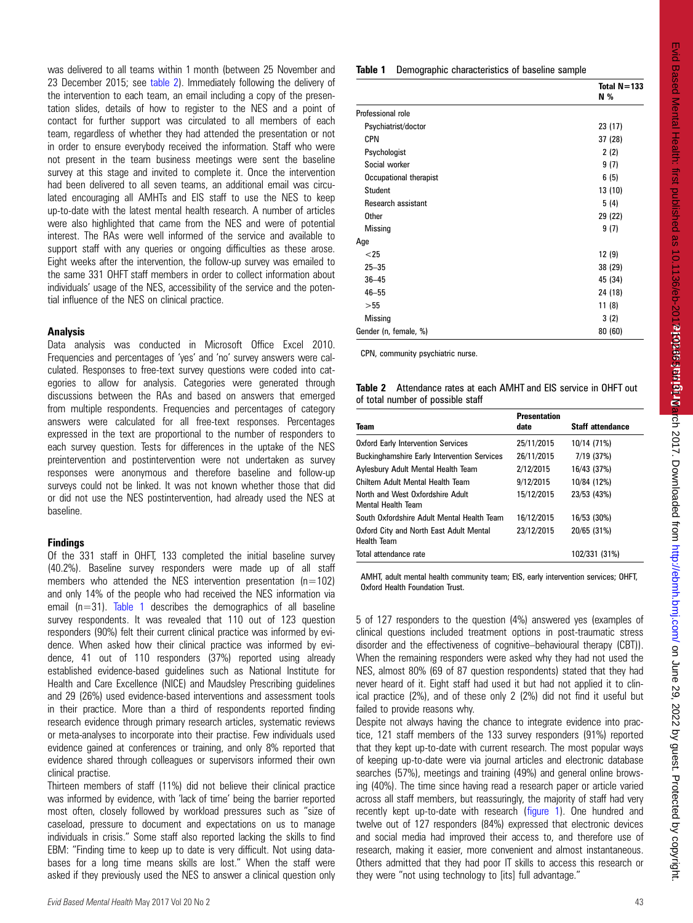<span id="page-2-0"></span>was delivered to all teams within 1 month (between 25 November and 23 December 2015; see table 2). Immediately following the delivery of the intervention to each team, an email including a copy of the presentation slides, details of how to register to the NES and a point of contact for further support was circulated to all members of each team, regardless of whether they had attended the presentation or not in order to ensure everybody received the information. Staff who were not present in the team business meetings were sent the baseline survey at this stage and invited to complete it. Once the intervention had been delivered to all seven teams, an additional email was circulated encouraging all AMHTs and EIS staff to use the NES to keep up-to-date with the latest mental health research. A number of articles were also highlighted that came from the NES and were of potential interest. The RAs were well informed of the service and available to support staff with any queries or ongoing difficulties as these arose. Eight weeks after the intervention, the follow-up survey was emailed to the same 331 OHFT staff members in order to collect information about individuals' usage of the NES, accessibility of the service and the potential influence of the NES on clinical practice.

#### Analysis

Data analysis was conducted in Microsoft Office Excel 2010. Frequencies and percentages of 'yes' and 'no' survey answers were calculated. Responses to free-text survey questions were coded into categories to allow for analysis. Categories were generated through discussions between the RAs and based on answers that emerged from multiple respondents. Frequencies and percentages of category answers were calculated for all free-text responses. Percentages expressed in the text are proportional to the number of responders to each survey question. Tests for differences in the uptake of the NES preintervention and postintervention were not undertaken as survey responses were anonymous and therefore baseline and follow-up surveys could not be linked. It was not known whether those that did or did not use the NES postintervention, had already used the NES at baseline.

### Findings

Of the 331 staff in OHFT, 133 completed the initial baseline survey (40.2%). Baseline survey responders were made up of all staff members who attended the NES intervention presentation  $(n=102)$ and only 14% of the people who had received the NES information via email ( $n=31$ ). Table 1 describes the demographics of all baseline survey respondents. It was revealed that 110 out of 123 question responders (90%) felt their current clinical practice was informed by evidence. When asked how their clinical practice was informed by evidence, 41 out of 110 responders (37%) reported using already established evidence-based guidelines such as National Institute for Health and Care Excellence (NICE) and Maudsley Prescribing guidelines and 29 (26%) used evidence-based interventions and assessment tools in their practice. More than a third of respondents reported finding research evidence through primary research articles, systematic reviews or meta-analyses to incorporate into their practise. Few individuals used evidence gained at conferences or training, and only 8% reported that evidence shared through colleagues or supervisors informed their own clinical practise.

Thirteen members of staff (11%) did not believe their clinical practice was informed by evidence, with 'lack of time' being the barrier reported most often, closely followed by workload pressures such as "size of caseload, pressure to document and expectations on us to manage individuals in crisis." Some staff also reported lacking the skills to find EBM: "Finding time to keep up to date is very difficult. Not using databases for a long time means skills are lost." When the staff were asked if they previously used the NES to answer a clinical question only

#### Table 1 Demographic characteristics of baseline sample

| Total $N = 133$<br>N % |
|------------------------|
|                        |
| 23 (17)                |
| 37 (28)                |
| 2(2)                   |
| 9(7)                   |
| 6(5)                   |
| 13 (10)                |
| 5(4)                   |
| 29 (22)                |
| 9(7)                   |
|                        |
| 12(9)                  |
| 38 (29)                |
| 45 (34)                |
| 24 (18)                |
| 11(8)                  |
| 3(2)                   |
| 80(60)                 |
|                        |

CPN, community psychiatric nurse.

| <b>Table 2</b> Attendance rates at each AMHT and EIS service in OHFT out |  |  |  |  |  |
|--------------------------------------------------------------------------|--|--|--|--|--|
| of total number of possible staff                                        |  |  |  |  |  |

| Team                                                          | Presentation<br>date | <b>Staff attendance</b> |
|---------------------------------------------------------------|----------------------|-------------------------|
| <b>Oxford Early Intervention Services</b>                     | 25/11/2015           | 10/14 (71%)             |
| <b>Buckinghamshire Early Intervention Services</b>            | 26/11/2015           | 7/19 (37%)              |
| Aylesbury Adult Mental Health Team                            | 2/12/2015            | 16/43 (37%)             |
| Chiltern Adult Mental Health Team                             | 9/12/2015            | 10/84 (12%)             |
| North and West Oxfordshire Adult<br>Mental Health Team        | 15/12/2015           | 23/53 (43%)             |
| South Oxfordshire Adult Mental Health Team                    | 16/12/2015           | 16/53 (30%)             |
| Oxford City and North East Adult Mental<br><b>Health Team</b> | 23/12/2015           | 20/65 (31%)             |
| Total attendance rate                                         |                      | 102/331 (31%)           |

AMHT, adult mental health community team; EIS, early intervention services; OHFT, Oxford Health Foundation Trust.

5 of 127 responders to the question (4%) answered yes (examples of clinical questions included treatment options in post-traumatic stress disorder and the effectiveness of cognitive–behavioural therapy (CBT)). When the remaining responders were asked why they had not used the NES, almost 80% (69 of 87 question respondents) stated that they had never heard of it. Eight staff had used it but had not applied it to clinical practice (2%), and of these only 2 (2%) did not find it useful but failed to provide reasons why.

Despite not always having the chance to integrate evidence into practice, 121 staff members of the 133 survey responders (91%) reported that they kept up-to-date with current research. The most popular ways of keeping up-to-date were via journal articles and electronic database searches (57%), meetings and training (49%) and general online browsing (40%). The time since having read a research paper or article varied across all staff members, but reassuringly, the majority of staff had very recently kept up-to-date with research (fi[gure 1](#page-3-0)). One hundred and twelve out of 127 responders (84%) expressed that electronic devices and social media had improved their access to, and therefore use of research, making it easier, more convenient and almost instantaneous. Others admitted that they had poor IT skills to access this research or they were "not using technology to [its] full advantage."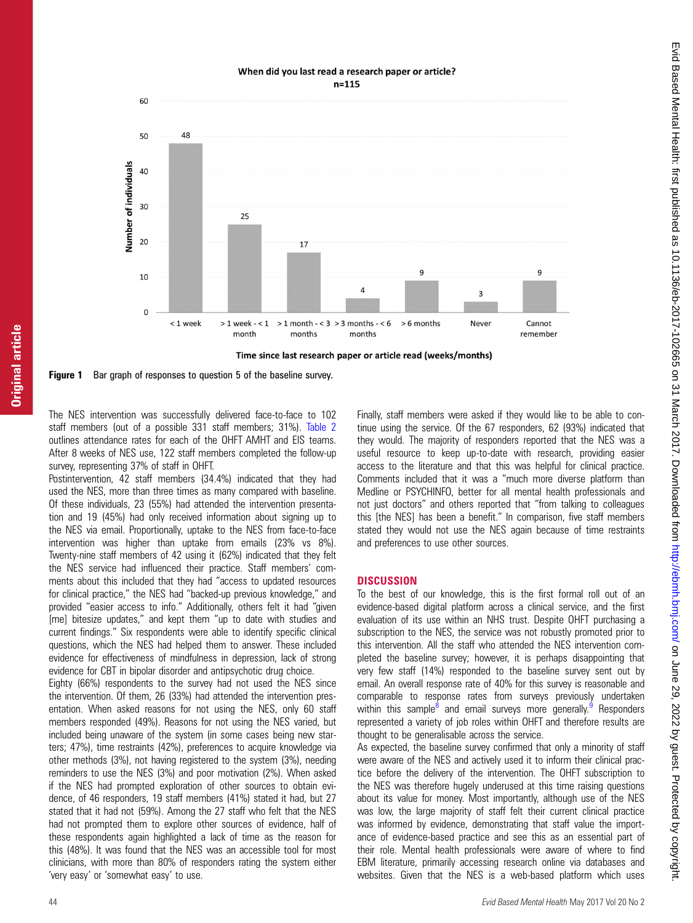#### When did you last read a research paper or article?  $n = 115$

<span id="page-3-0"></span>

#### Time since last research paper or article read (weeks/months)

Figure 1 Bar graph of responses to question 5 of the baseline survey.

The NES intervention was successfully delivered face-to-face to 102 staff members (out of a possible 331 staff members; 31%). [Table 2](#page-2-0) outlines attendance rates for each of the OHFT AMHT and EIS teams. After 8 weeks of NES use, 122 staff members completed the follow-up survey, representing 37% of staff in OHFT.

Postintervention, 42 staff members (34.4%) indicated that they had used the NES, more than three times as many compared with baseline. Of these individuals, 23 (55%) had attended the intervention presentation and 19 (45%) had only received information about signing up to the NES via email. Proportionally, uptake to the NES from face-to-face intervention was higher than uptake from emails (23% vs 8%). Twenty-nine staff members of 42 using it (62%) indicated that they felt the NES service had influenced their practice. Staff members' comments about this included that they had "access to updated resources for clinical practice," the NES had "backed-up previous knowledge," and provided "easier access to info." Additionally, others felt it had "given [me] bitesize updates," and kept them "up to date with studies and current findings." Six respondents were able to identify specific clinical questions, which the NES had helped them to answer. These included evidence for effectiveness of mindfulness in depression, lack of strong evidence for CBT in bipolar disorder and antipsychotic drug choice.

Eighty (66%) respondents to the survey had not used the NES since the intervention. Of them, 26 (33%) had attended the intervention presentation. When asked reasons for not using the NES, only 60 staff members responded (49%). Reasons for not using the NES varied, but included being unaware of the system (in some cases being new starters; 47%), time restraints (42%), preferences to acquire knowledge via other methods (3%), not having registered to the system (3%), needing reminders to use the NES (3%) and poor motivation (2%). When asked if the NES had prompted exploration of other sources to obtain evidence, of 46 responders, 19 staff members (41%) stated it had, but 27 stated that it had not (59%). Among the 27 staff who felt that the NES had not prompted them to explore other sources of evidence, half of these respondents again highlighted a lack of time as the reason for this (48%). It was found that the NES was an accessible tool for most clinicians, with more than 80% of responders rating the system either 'very easy' or 'somewhat easy' to use.

Finally, staff members were asked if they would like to be able to continue using the service. Of the 67 responders, 62 (93%) indicated that they would. The majority of responders reported that the NES was a useful resource to keep up-to-date with research, providing easier access to the literature and that this was helpful for clinical practice. Comments included that it was a "much more diverse platform than Medline or PSYCHINFO, better for all mental health professionals and not just doctors" and others reported that "from talking to colleagues this [the NES] has been a benefit." In comparison, five staff members stated they would not use the NES again because of time restraints and preferences to use other sources.

## **DISCUSSION**

To the best of our knowledge, this is the first formal roll out of an evidence-based digital platform across a clinical service, and the first evaluation of its use within an NHS trust. Despite OHFT purchasing a subscription to the NES, the service was not robustly promoted prior to this intervention. All the staff who attended the NES intervention completed the baseline survey; however, it is perhaps disappointing that very few staff (14%) responded to the baseline survey sent out by email. An overall response rate of 40% for this survey is reasonable and comparable to response rates from surveys previously undertaken within this sample<sup>[8](#page-4-0)</sup> and email surveys more generally.<sup>[9](#page-4-0)</sup> Responders represented a variety of job roles within OHFT and therefore results are thought to be generalisable across the service.

As expected, the baseline survey confirmed that only a minority of staff were aware of the NES and actively used it to inform their clinical practice before the delivery of the intervention. The OHFT subscription to the NES was therefore hugely underused at this time raising questions about its value for money. Most importantly, although use of the NES was low, the large majority of staff felt their current clinical practice was informed by evidence, demonstrating that staff value the importance of evidence-based practice and see this as an essential part of their role. Mental health professionals were aware of where to find EBM literature, primarily accessing research online via databases and websites. Given that the NES is a web-based platform which uses